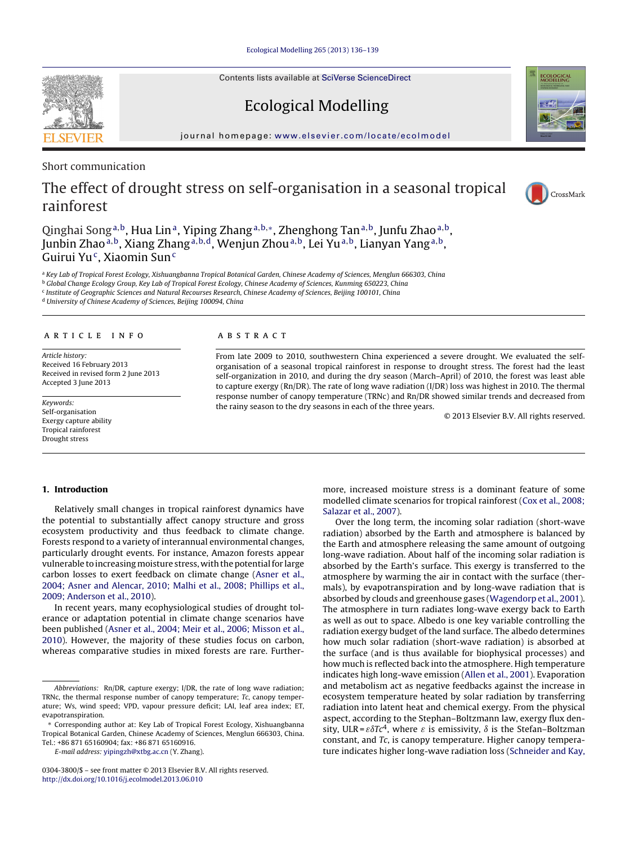Contents lists available at SciVerse [ScienceDirect](http://www.sciencedirect.com/science/journal/03043800)

# Ecological Modelling

iournal homepage: [www.elsevier.com/locate/ecolmodel](http://www.elsevier.com/locate/ecolmodel)

Short communication

## The effect of drought stress on self-organisation in a seasonal tropical rainforest

Qinghai Song<sup>a,b</sup>, Hua Lin<sup>a</sup>, Yiping Zhang<sup>a,b,∗</sup>, Zhenghong Tan<sup>a,b</sup>, Junfu Zhao<sup>a,b</sup>, Junbin Zhao<sup>a,b</sup>, Xiang Zhang<sup>a,b,d</sup>, Wenjun Zhou<sup>a,b</sup>, Lei Yu<sup>a,b</sup>, Lianyan Yang<sup>a,b</sup>, Guirui Yu<sup>c</sup>, Xiaomin Sun<sup>c</sup>

a Key Lab of Tropical Forest Ecology, Xishuangbanna Tropical Botanical Garden, Chinese Academy of Sciences, Menglun 666303, China b Global Change Ecology Group, Key Lab of Tropical Forest Ecology, Chinese Academy of Sciences, Kunming 650223, China

<sup>c</sup> Institute of Geographic Sciences and Natural Recourses Research, Chinese Academy of Sciences, Beijing 100101, China

<sup>d</sup> University of Chinese Academy of Sciences, Beijing 100094, China

## a r t i c l e i n f o

Article history: Received 16 February 2013 Received in revised form 2 June 2013 Accepted 3 June 2013

Keywords: Self-organisation Exergy capture ability Tropical rainforest Drought stress

#### A B S T R A C T

From late 2009 to 2010, southwestern China experienced a severe drought. We evaluated the selforganisation of a seasonal tropical rainforest in response to drought stress. The forest had the least self-organization in 2010, and during the dry season (March–April) of 2010, the forest was least able to capture exergy (Rn/DR). The rate of long wave radiation (I/DR) loss was highest in 2010. The thermal response number of canopy temperature (TRNc) and Rn/DR showed similar trends and decreased from the rainy season to the dry seasons in each of the three years.

© 2013 Elsevier B.V. All rights reserved.

## **1. Introduction**

Relatively small changes in tropical rainforest dynamics have the potential to substantially affect canopy structure and gross ecosystem productivity and thus feedback to climate change. Forests respond to a variety of interannual environmental changes, particularly drought events. For instance, Amazon forests appear vulnerable to increasing moisture stress, with the potential for large carbon losses to exert feedback on climate change ([Asner](#page-3-0) et [al.,](#page-3-0) [2004;](#page-3-0) [Asner](#page-3-0) [and](#page-3-0) [Alencar,](#page-3-0) [2010;](#page-3-0) [Malhi](#page-3-0) et [al.,](#page-3-0) [2008;](#page-3-0) [Phillips](#page-3-0) et [al.,](#page-3-0) [2009;](#page-3-0) [Anderson](#page-3-0) et [al.,](#page-3-0) [2010\).](#page-3-0)

In recent years, many ecophysiological studies of drought tolerance or adaptation potential in climate change scenarios have been published ([Asner](#page-3-0) et [al.,](#page-3-0) [2004;](#page-3-0) [Meir](#page-3-0) et [al.,](#page-3-0) [2006;](#page-3-0) [Misson](#page-3-0) et [al.,](#page-3-0) [2010\).](#page-3-0) However, the majority of these studies focus on carbon, whereas comparative studies in mixed forests are rare. Further-

E-mail address: [yipingzh@xtbg.ac.cn](mailto:yipingzh@xtbg.ac.cn) (Y. Zhang).

more, increased moisture stress is a dominant feature of some modelled climate scenarios for tropical rainforest ([Cox](#page-3-0) et [al.,](#page-3-0) [2008;](#page-3-0) [Salazar](#page-3-0) et [al.,](#page-3-0) [2007\).](#page-3-0)

Over the long term, the incoming solar radiation (short-wave radiation) absorbed by the Earth and atmosphere is balanced by the Earth and atmosphere releasing the same amount of outgoing long-wave radiation. About half of the incoming solar radiation is absorbed by the Earth's surface. This exergy is transferred to the atmosphere by warming the air in contact with the surface (thermals), by evapotranspiration and by long-wave radiation that is absorbed by clouds and greenhouse gases ([Wagendorp](#page-3-0) et [al.,](#page-3-0) [2001\).](#page-3-0) The atmosphere in turn radiates long-wave exergy back to Earth as well as out to space. Albedo is one key variable controlling the radiation exergy budget of the land surface. The albedo determines how much solar radiation (short-wave radiation) is absorbed at the surface (and is thus available for biophysical processes) and how much is reflected back into the atmosphere. High temperature indicates high long-wave emission ([Allen](#page-3-0) et [al.,](#page-3-0) [2001\).](#page-3-0) Evaporation and metabolism act as negative feedbacks against the increase in ecosystem temperature heated by solar radiation by transferring radiation into latent heat and chemical exergy. From the physical aspect, according to the Stephan–Boltzmann law, exergy flux density, ULR =  $\varepsilon \delta T c^4$ , where  $\varepsilon$  is emissivity,  $\delta$  is the Stefan–Boltzman constant, and Tc, is canopy temperature. Higher canopy temperature indicates higher long-wave radiation loss ([Schneider](#page-3-0) [and](#page-3-0) [Kay,](#page-3-0)







Abbreviations: Rn/DR, capture exergy; I/DR, the rate of long wave radiation; TRNc, the thermal response number of canopy temperature; Tc, canopy temperature; Ws, wind speed; VPD, vapour pressure deficit; LAI, leaf area index; ET, evapotranspiration.

<sup>∗</sup> Corresponding author at: Key Lab of Tropical Forest Ecology, Xishuangbanna Tropical Botanical Garden, Chinese Academy of Sciences, Menglun 666303, China. Tel.: +86 871 65160904; fax: +86 871 65160916.

<sup>0304-3800/\$</sup> – see front matter © 2013 Elsevier B.V. All rights reserved. [http://dx.doi.org/10.1016/j.ecolmodel.2013.06.010](dx.doi.org/10.1016/j.ecolmodel.2013.06.010)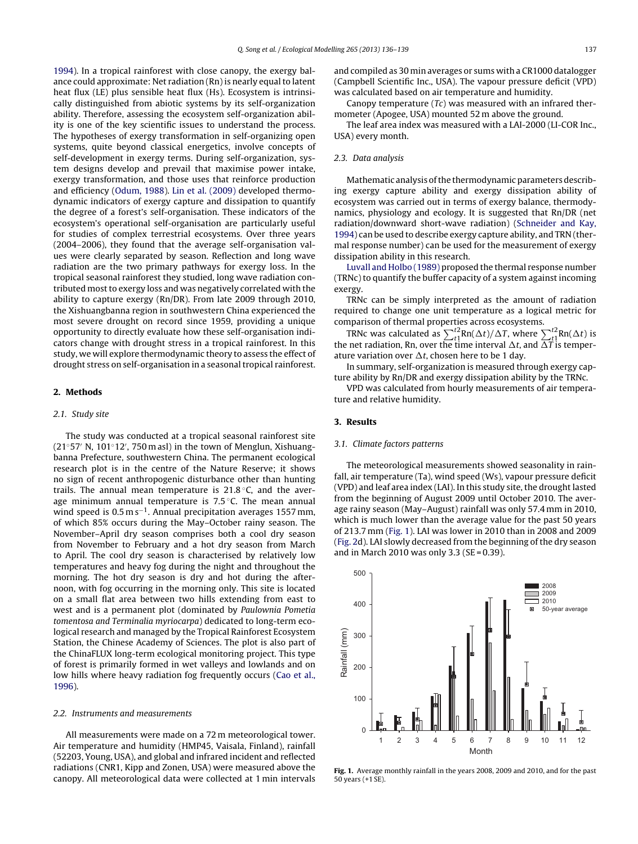[1994\).](#page-3-0) In a tropical rainforest with close canopy, the exergy balance could approximate: Net radiation (Rn) is nearly equal to latent heat flux (LE) plus sensible heat flux (Hs). Ecosystem is intrinsically distinguished from abiotic systems by its self-organization ability. Therefore, assessing the ecosystem self-organization ability is one of the key scientific issues to understand the process. The hypotheses of exergy transformation in self-organizing open systems, quite beyond classical energetics, involve concepts of self-development in exergy terms. During self-organization, system designs develop and prevail that maximise power intake, exergy transformation, and those uses that reinforce production and efficiency ([Odum,](#page-3-0) [1988\).](#page-3-0) [Lin](#page-3-0) et [al.](#page-3-0) [\(2009\)](#page-3-0) developed thermodynamic indicators of exergy capture and dissipation to quantify the degree of a forest's self-organisation. These indicators of the ecosystem's operational self-organisation are particularly useful for studies of complex terrestrial ecosystems. Over three years (2004–2006), they found that the average self-organisation values were clearly separated by season. Reflection and long wave radiation are the two primary pathways for exergy loss. In the tropical seasonal rainforest they studied, long wave radiation contributed most to exergy loss and was negatively correlated with the ability to capture exergy (Rn/DR). From late 2009 through 2010, the Xishuangbanna region in southwestern China experienced the most severe drought on record since 1959, providing a unique opportunity to directly evaluate how these self-organisation indicators change with drought stress in a tropical rainforest. In this study, we will explore thermodynamic theory to assess the effect of drought stress on self-organisation in a seasonal tropical rainforest.

#### **2. Methods**

#### 2.1. Study site

The study was conducted at a tropical seasonal rainforest site (21°57′ N, 101°12′, 750 m asl) in the town of Menglun, Xishuangbanna Prefecture, southwestern China. The permanent ecological research plot is in the centre of the Nature Reserve; it shows no sign of recent anthropogenic disturbance other than hunting trails. The annual mean temperature is  $21.8\text{ °C}$ , and the average minimum annual temperature is  $7.5\,^{\circ}$ C. The mean annual wind speed is  $0.5 \text{ m s}^{-1}$ . Annual precipitation averages 1557 mm, of which 85% occurs during the May–October rainy season. The November–April dry season comprises both a cool dry season from November to February and a hot dry season from March to April. The cool dry season is characterised by relatively low temperatures and heavy fog during the night and throughout the morning. The hot dry season is dry and hot during the afternoon, with fog occurring in the morning only. This site is located on a small flat area between two hills extending from east to west and is a permanent plot (dominated by Paulownia Pometia tomentosa and Terminalia myriocarpa) dedicated to long-term ecological research and managed by the Tropical Rainforest Ecosystem Station, the Chinese Academy of Sciences. The plot is also part of the ChinaFLUX long-term ecological monitoring project. This type of forest is primarily formed in wet valleys and lowlands and on low hills where heavy radiation fog frequently occurs ([Cao](#page-3-0) et [al.,](#page-3-0) [1996\).](#page-3-0)

#### 2.2. Instruments and measurements

All measurements were made on a 72 m meteorological tower. Air temperature and humidity (HMP45, Vaisala, Finland), rainfall (52203, Young, USA), and global and infrared incident and reflected radiations (CNR1, Kipp and Zonen, USA) were measured above the canopy. All meteorological data were collected at 1 min intervals

and compiled as 30 min averages or sums with a CR1000 datalogger (Campbell Scientific Inc., USA). The vapour pressure deficit (VPD) was calculated based on air temperature and humidity.

Canopy temperature (Tc) was measured with an infrared thermometer (Apogee, USA) mounted 52 m above the ground.

The leaf area index was measured with a LAI-2000 (LI-COR Inc., USA) every month.

## 2.3. Data analysis

Mathematic analysis of the thermodynamic parameters describing exergy capture ability and exergy dissipation ability of ecosystem was carried out in terms of exergy balance, thermodynamics, physiology and ecology. It is suggested that Rn/DR (net radiation/downward short-wave radiation) ([Schneider](#page-3-0) [and](#page-3-0) [Kay,](#page-3-0) [1994\)](#page-3-0) can be used to describe exergy capture ability, and TRN (thermal response number) can be used for the measurement of exergy dissipation ability in this research.

[Luvall](#page-3-0) [and](#page-3-0) [Holbo](#page-3-0) [\(1989\)](#page-3-0) proposed the thermal response number (TRNc) to quantify the buffer capacity of a system against incoming exergy.

TRNc can be simply interpreted as the amount of radiation required to change one unit temperature as a logical metric for comparison of thermal properties across ecosystems.

TRNc was calculated as  $\sum_{t1}^{t2} \text{Rn}(\Delta t) / \Delta T$ , where  $\sum_{t1}^{t2} \text{Rn}(\Delta t)$  is the net radiation, Rn, over the time interval  $\Delta t$ , and  $\overline{\Delta T}$  is temperature variation over  $\Delta t$ , chosen here to be 1 day.

In summary, self-organization is measured through exergy capture ability by Rn/DR and exergy dissipation ability by the TRNc.

VPD was calculated from hourly measurements of air temperature and relative humidity.

## **3. Results**

#### 3.1. Climate factors patterns

The meteorological measurements showed seasonality in rainfall, air temperature (Ta), wind speed (Ws), vapour pressure deficit (VPD) and leaf area index (LAI). In this study site, the drought lasted from the beginning of August 2009 until October 2010. The average rainy season (May–August) rainfall was only 57.4 mm in 2010, which is much lower than the average value for the past 50 years of 213.7 mm (Fig. 1). LAI was lower in 2010 than in 2008 and 2009 [\(Fig.](#page-2-0) 2d). LAI slowly decreased from the beginning of the dry season and in March 2010 was only 3.3 (SE =  $0.39$ ).

500 ■ 2008  $\equiv$  2009 П  $-2010$ 400 50-year average Rainfall (mm) Rainfall (mm) 300 200 100 0 1 2 3 4 5 6 7 8 9 10 11 12 Month

**Fig. 1.** Average monthly rainfall in the years 2008, 2009 and 2010, and for the past 50 years (+1 SE).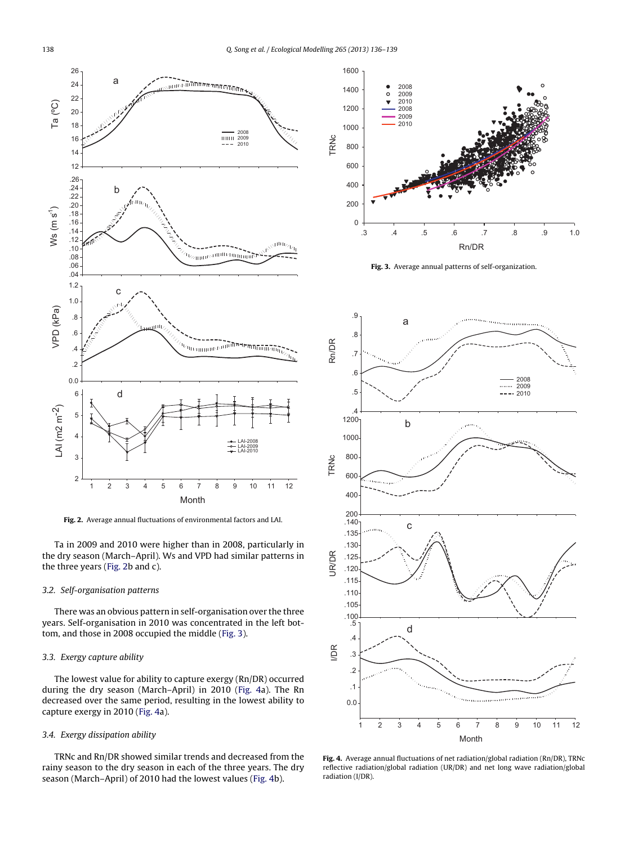<span id="page-2-0"></span>

**Fig. 2.** Average annual fluctuations of environmental factors and LAI.

Ta in 2009 and 2010 were higher than in 2008, particularly in the dry season (March–April). Ws and VPD had similar patterns in the three years (Fig. 2b and c).

## 3.2. Self-organisation patterns

There was an obvious pattern in self-organisation over the three years. Self-organisation in 2010 was concentrated in the left bottom, and those in 2008 occupied the middle (Fig. 3).

## 3.3. Exergy capture ability

The lowest value for ability to capture exergy (Rn/DR) occurred during the dry season (March–April) in 2010 (Fig. 4a). The Rn decreased over the same period, resulting in the lowest ability to capture exergy in 2010 (Fig. 4a).

## 3.4. Exergy dissipation ability

TRNc and Rn/DR showed similar trends and decreased from the rainy season to the dry season in each of the three years. The dry season (March–April) of 2010 had the lowest values (Fig. 4b).



**Fig. 3.** Average annual patterns of self-organization.



**Fig. 4.** Average annual fluctuations of net radiation/global radiation (Rn/DR), TRNc reflective radiation/global radiation (UR/DR) and net long wave radiation/global radiation (I/DR).